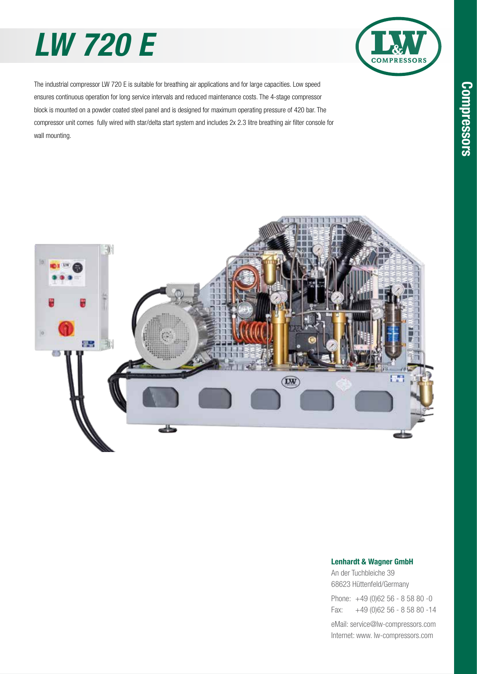# *LW 720 E*



The industrial compressor LW 720 E is suitable for breathing air applications and for large capacities. Low speed ensures continuous operation for long service intervals and reduced maintenance costs. The 4-stage compressor block is mounted on a powder coated steel panel and is designed for maximum operating pressure of 420 bar. The compressor unit comes fully wired with star/delta start system and includes 2x 2.3 litre breathing air filter console for wall mounting.



### Lenhardt & Wagner GmbH

An der Tuchbleiche 39 68623 Hüttenfeld / Germany Hüttenfeld/Germany

Phone: +49 (0)62 56 - 8 58 80 -0 Fax: +49 (0)62 56 - 8 58 80 -14 +49 (0)62 56 - 8 58 80 -14

eMail: service@lw-compressors.com Internet: www. lw-compressors.com